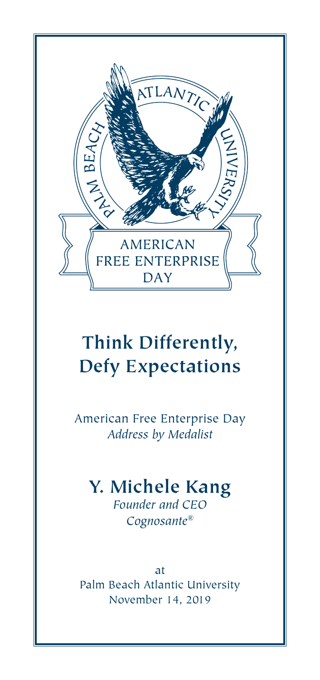

# **Think Differently, Defy Expectations**

American Free Enterprise Day *Address by Medalist*

# **Y. Michele Kang**

*Founder and CEO Cognosante®*

at Palm Beach Atlantic University November 14, 2019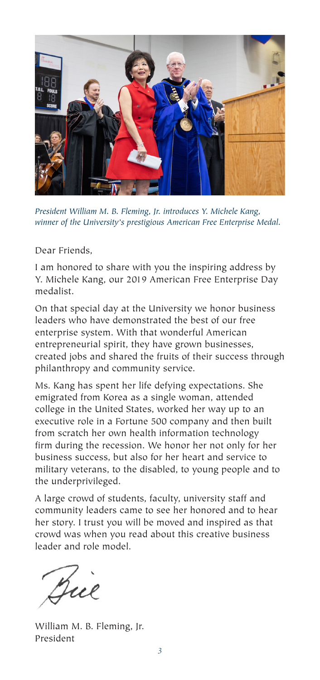

*President William M. B. Fleming, Jr. introduces Y. Michele Kang, winner of the University's prestigious American Free Enterprise Medal.*

Dear Friends,

I am honored to share with you the inspiring address by Y. Michele Kang, our 2019 American Free Enterprise Day medalist.

On that special day at the University we honor business leaders who have demonstrated the best of our free enterprise system. With that wonderful American entrepreneurial spirit, they have grown businesses, created jobs and shared the fruits of their success through philanthropy and community service.

Ms. Kang has spent her life defying expectations. She emigrated from Korea as a single woman, attended college in the United States, worked her way up to an executive role in a Fortune 500 company and then built from scratch her own health information technology firm during the recession. We honor her not only for her business success, but also for her heart and service to military veterans, to the disabled, to young people and to the underprivileged.

A large crowd of students, faculty, university staff and community leaders came to see her honored and to hear her story. I trust you will be moved and inspired as that crowd was when you read about this creative business leader and role model.

Due

William M. B. Fleming, Jr. President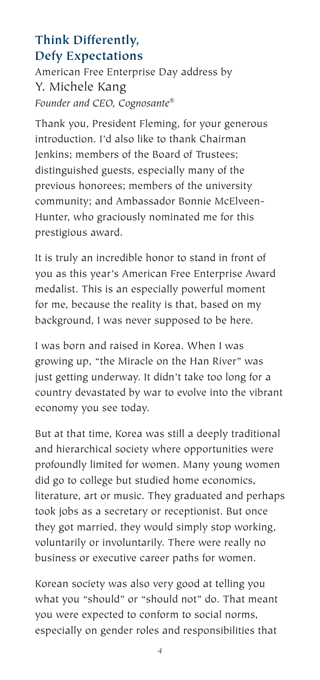# **Think Differently, Defy Expectations**

American Free Enterprise Day address by Y. Michele Kang *Founder and CEO, Cognosante®*

Thank you, President Fleming, for your generous introduction. I'd also like to thank Chairman Jenkins; members of the Board of Trustees; distinguished guests, especially many of the previous honorees; members of the university community; and Ambassador Bonnie McElveen-Hunter, who graciously nominated me for this prestigious award.

It is truly an incredible honor to stand in front of you as this year's American Free Enterprise Award medalist. This is an especially powerful moment for me, because the reality is that, based on my background, I was never supposed to be here.

I was born and raised in Korea. When I was growing up, "the Miracle on the Han River" was just getting underway. It didn't take too long for a country devastated by war to evolve into the vibrant economy you see today.

But at that time, Korea was still a deeply traditional and hierarchical society where opportunities were profoundly limited for women. Many young women did go to college but studied home economics, literature, art or music. They graduated and perhaps took jobs as a secretary or receptionist. But once they got married, they would simply stop working, voluntarily or involuntarily. There were really no business or executive career paths for women.

Korean society was also very good at telling you what you "should" or "should not" do. That meant you were expected to conform to social norms, especially on gender roles and responsibilities that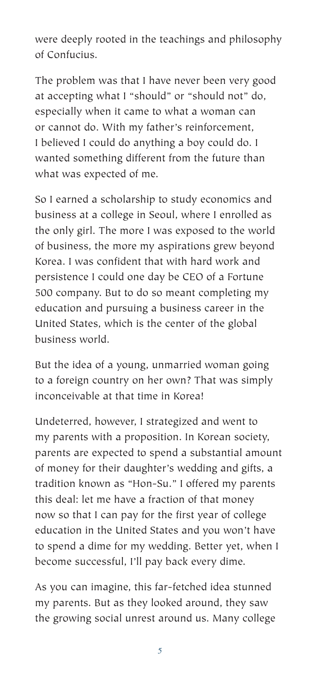were deeply rooted in the teachings and philosophy of Confucius.

The problem was that I have never been very good at accepting what I "should" or "should not" do, especially when it came to what a woman can or cannot do. With my father's reinforcement, I believed I could do anything a boy could do. I wanted something different from the future than what was expected of me.

So I earned a scholarship to study economics and business at a college in Seoul, where I enrolled as the only girl. The more I was exposed to the world of business, the more my aspirations grew beyond Korea. I was confident that with hard work and persistence I could one day be CEO of a Fortune 500 company. But to do so meant completing my education and pursuing a business career in the United States, which is the center of the global business world.

But the idea of a young, unmarried woman going to a foreign country on her own? That was simply inconceivable at that time in Korea!

Undeterred, however, I strategized and went to my parents with a proposition. In Korean society, parents are expected to spend a substantial amount of money for their daughter's wedding and gifts, a tradition known as "Hon-Su." I offered my parents this deal: let me have a fraction of that money now so that I can pay for the first year of college education in the United States and you won't have to spend a dime for my wedding. Better yet, when I become successful, I'll pay back every dime.

As you can imagine, this far-fetched idea stunned my parents. But as they looked around, they saw the growing social unrest around us. Many college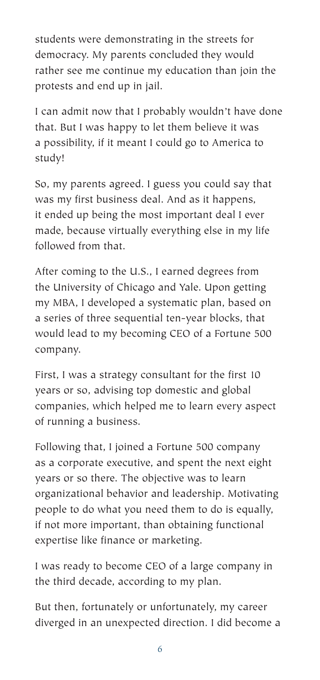students were demonstrating in the streets for democracy. My parents concluded they would rather see me continue my education than join the protests and end up in jail.

I can admit now that I probably wouldn't have done that. But I was happy to let them believe it was a possibility, if it meant I could go to America to study!

So, my parents agreed. I guess you could say that was my first business deal. And as it happens, it ended up being the most important deal I ever made, because virtually everything else in my life followed from that.

After coming to the U.S., I earned degrees from the University of Chicago and Yale. Upon getting my MBA, I developed a systematic plan, based on a series of three sequential ten-year blocks, that would lead to my becoming CEO of a Fortune 500 company.

First, I was a strategy consultant for the first 10 years or so, advising top domestic and global companies, which helped me to learn every aspect of running a business.

Following that, I joined a Fortune 500 company as a corporate executive, and spent the next eight years or so there. The objective was to learn organizational behavior and leadership. Motivating people to do what you need them to do is equally, if not more important, than obtaining functional expertise like finance or marketing.

I was ready to become CEO of a large company in the third decade, according to my plan.

But then, fortunately or unfortunately, my career diverged in an unexpected direction. I did become a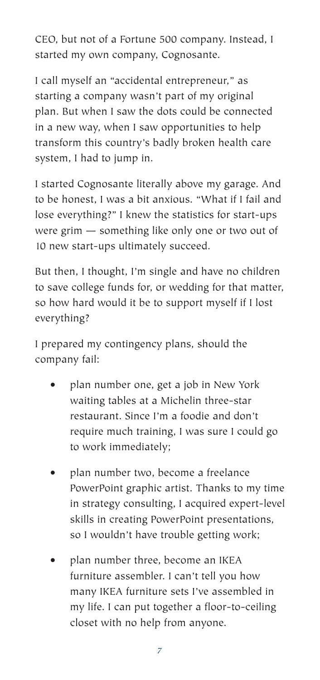CEO, but not of a Fortune 500 company. Instead, I started my own company, Cognosante.

I call myself an "accidental entrepreneur," as starting a company wasn't part of my original plan. But when I saw the dots could be connected in a new way, when I saw opportunities to help transform this country's badly broken health care system, I had to jump in.

I started Cognosante literally above my garage. And to be honest, I was a bit anxious. "What if I fail and lose everything?" I knew the statistics for start-ups were grim — something like only one or two out of 10 new start-ups ultimately succeed.

But then, I thought, I'm single and have no children to save college funds for, or wedding for that matter, so how hard would it be to support myself if I lost everything?

I prepared my contingency plans, should the company fail:

- plan number one, get a job in New York waiting tables at a Michelin three-star restaurant. Since I'm a foodie and don't require much training, I was sure I could go to work immediately;
- plan number two, become a freelance PowerPoint graphic artist. Thanks to my time in strategy consulting, I acquired expert-level skills in creating PowerPoint presentations, so I wouldn't have trouble getting work;
- plan number three, become an IKEA furniture assembler. I can't tell you how many IKEA furniture sets I've assembled in my life. I can put together a floor-to-ceiling closet with no help from anyone.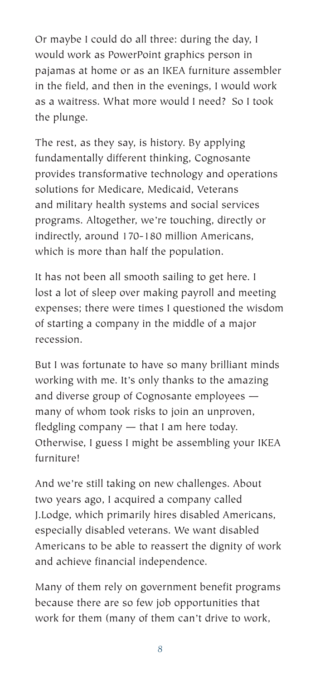Or maybe I could do all three: during the day, I would work as PowerPoint graphics person in pajamas at home or as an IKEA furniture assembler in the field, and then in the evenings, I would work as a waitress. What more would I need? So I took the plunge.

The rest, as they say, is history. By applying fundamentally different thinking, Cognosante provides transformative technology and operations solutions for Medicare, Medicaid, Veterans and military health systems and social services programs. Altogether, we're touching, directly or indirectly, around 170-180 million Americans, which is more than half the population.

It has not been all smooth sailing to get here. I lost a lot of sleep over making payroll and meeting expenses; there were times I questioned the wisdom of starting a company in the middle of a major recession.

But I was fortunate to have so many brilliant minds working with me. It's only thanks to the amazing and diverse group of Cognosante employees many of whom took risks to join an unproven, fledgling company — that I am here today. Otherwise, I guess I might be assembling your IKEA furniture!

And we're still taking on new challenges. About two years ago, I acquired a company called J.Lodge, which primarily hires disabled Americans, especially disabled veterans. We want disabled Americans to be able to reassert the dignity of work and achieve financial independence.

Many of them rely on government benefit programs because there are so few job opportunities that work for them (many of them can't drive to work,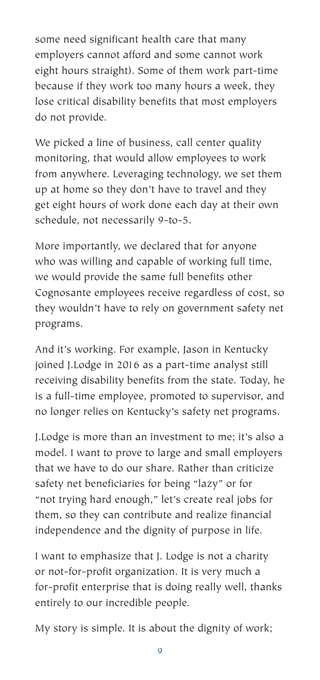some need significant health care that many employers cannot afford and some cannot work eight hours straight). Some of them work part-time because if they work too many hours a week, they lose critical disability benefits that most employers do not provide.

We picked a line of business, call center quality monitoring, that would allow employees to work from anywhere. Leveraging technology, we set them up at home so they don't have to travel and they get eight hours of work done each day at their own schedule, not necessarily 9-to-5.

More importantly, we declared that for anyone who was willing and capable of working full time, we would provide the same full benefits other Cognosante employees receive regardless of cost, so they wouldn't have to rely on government safety net programs.

And it's working. For example, Jason in Kentucky joined J.Lodge in 2016 as a part-time analyst still receiving disability benefits from the state. Today, he is a full-time employee, promoted to supervisor, and no longer relies on Kentucky's safety net programs.

J.Lodge is more than an investment to me; it's also a model. I want to prove to large and small employers that we have to do our share. Rather than criticize safety net beneficiaries for being "lazy" or for "not trying hard enough," let's create real jobs for them, so they can contribute and realize financial independence and the dignity of purpose in life.

I want to emphasize that J. Lodge is not a charity or not-for-profit organization. It is very much a for-profit enterprise that is doing really well, thanks entirely to our incredible people.

My story is simple. It is about the dignity of work;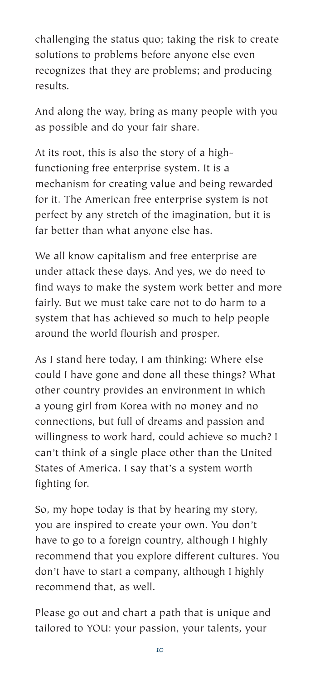challenging the status quo; taking the risk to create solutions to problems before anyone else even recognizes that they are problems; and producing results.

And along the way, bring as many people with you as possible and do your fair share.

At its root, this is also the story of a highfunctioning free enterprise system. It is a mechanism for creating value and being rewarded for it. The American free enterprise system is not perfect by any stretch of the imagination, but it is far better than what anyone else has.

We all know capitalism and free enterprise are under attack these days. And yes, we do need to find ways to make the system work better and more fairly. But we must take care not to do harm to a system that has achieved so much to help people around the world flourish and prosper.

As I stand here today, I am thinking: Where else could I have gone and done all these things? What other country provides an environment in which a young girl from Korea with no money and no connections, but full of dreams and passion and willingness to work hard, could achieve so much? I can't think of a single place other than the United States of America. I say that's a system worth fighting for.

So, my hope today is that by hearing my story, you are inspired to create your own. You don't have to go to a foreign country, although I highly recommend that you explore different cultures. You don't have to start a company, although I highly recommend that, as well.

Please go out and chart a path that is unique and tailored to YOU: your passion, your talents, your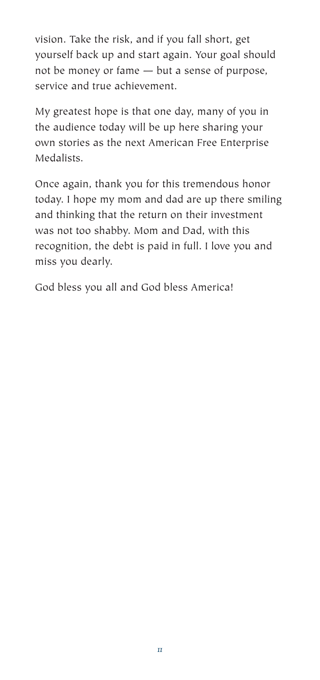vision. Take the risk, and if you fall short, get yourself back up and start again. Your goal should not be money or fame — but a sense of purpose, service and true achievement.

My greatest hope is that one day, many of you in the audience today will be up here sharing your own stories as the next American Free Enterprise Medalists.

Once again, thank you for this tremendous honor today. I hope my mom and dad are up there smiling and thinking that the return on their investment was not too shabby. Mom and Dad, with this recognition, the debt is paid in full. I love you and miss you dearly.

God bless you all and God bless America!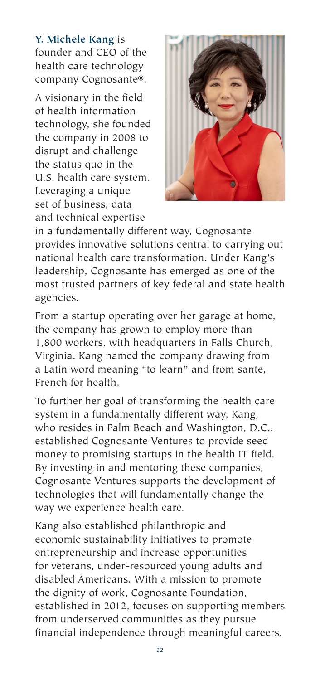**Y. Michele Kang** is founder and CEO of the health care technology company Cognosante®.

A visionary in the field of health information technology, she founded the company in 2008 to disrupt and challenge the status quo in the U.S. health care system. Leveraging a unique set of business, data and technical expertise



in a fundamentally different way, Cognosante provides innovative solutions central to carrying out national health care transformation. Under Kang's leadership, Cognosante has emerged as one of the most trusted partners of key federal and state health agencies.

From a startup operating over her garage at home, the company has grown to employ more than 1,800 workers, with headquarters in Falls Church, Virginia. Kang named the company drawing from a Latin word meaning "to learn" and from sante, French for health.

To further her goal of transforming the health care system in a fundamentally different way, Kang, who resides in Palm Beach and Washington, D.C., established Cognosante Ventures to provide seed money to promising startups in the health IT field. By investing in and mentoring these companies, Cognosante Ventures supports the development of technologies that will fundamentally change the way we experience health care.

Kang also established philanthropic and economic sustainability initiatives to promote entrepreneurship and increase opportunities for veterans, under-resourced young adults and disabled Americans. With a mission to promote the dignity of work, Cognosante Foundation, established in 2012, focuses on supporting members from underserved communities as they pursue financial independence through meaningful careers.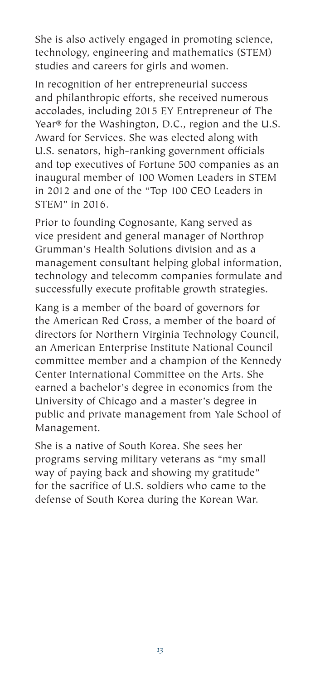She is also actively engaged in promoting science, technology, engineering and mathematics (STEM) studies and careers for girls and women.

In recognition of her entrepreneurial success and philanthropic efforts, she received numerous accolades, including 2015 EY Entrepreneur of The Year® for the Washington, D.C., region and the U.S. Award for Services. She was elected along with U.S. senators, high-ranking government officials and top executives of Fortune 500 companies as an inaugural member of 100 Women Leaders in STEM in 2012 and one of the "Top 100 CEO Leaders in STEM" in 2016.

Prior to founding Cognosante, Kang served as vice president and general manager of Northrop Grumman's Health Solutions division and as a management consultant helping global information, technology and telecomm companies formulate and successfully execute profitable growth strategies.

Kang is a member of the board of governors for the American Red Cross, a member of the board of directors for Northern Virginia Technology Council, an American Enterprise Institute National Council committee member and a champion of the Kennedy Center International Committee on the Arts. She earned a bachelor's degree in economics from the University of Chicago and a master's degree in public and private management from Yale School of Management.

She is a native of South Korea. She sees her programs serving military veterans as "my small way of paying back and showing my gratitude" for the sacrifice of U.S. soldiers who came to the defense of South Korea during the Korean War.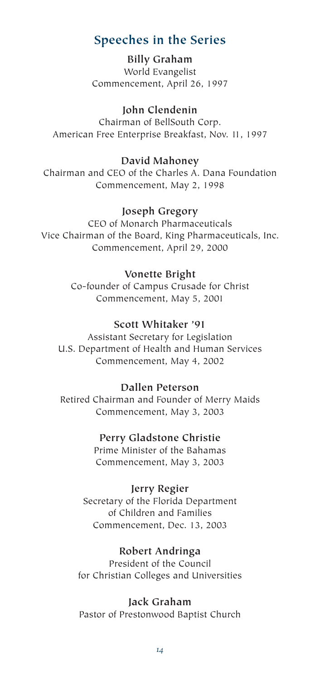# **Speeches in the Series**

**Billy Graham** World Evangelist Commencement, April 26, 1997

**John Clendenin** Chairman of BellSouth Corp. American Free Enterprise Breakfast, Nov. 11, 1997

# **David Mahoney**

Chairman and CEO of the Charles A. Dana Foundation Commencement, May 2, 1998

#### **Joseph Gregory**

CEO of Monarch Pharmaceuticals Vice Chairman of the Board, King Pharmaceuticals, Inc. Commencement, April 29, 2000

#### **Vonette Bright**

Co-founder of Campus Crusade for Christ Commencement, May 5, 2001

#### **Scott Whitaker '91**

Assistant Secretary for Legislation U.S. Department of Health and Human Services Commencement, May 4, 2002

#### **Dallen Peterson**

Retired Chairman and Founder of Merry Maids Commencement, May 3, 2003

#### **Perry Gladstone Christie**

Prime Minister of the Bahamas Commencement, May 3, 2003

**Jerry Regier**

Secretary of the Florida Department of Children and Families Commencement, Dec. 13, 2003

#### **Robert Andringa**

President of the Council for Christian Colleges and Universities

#### **Jack Graham**

Pastor of Prestonwood Baptist Church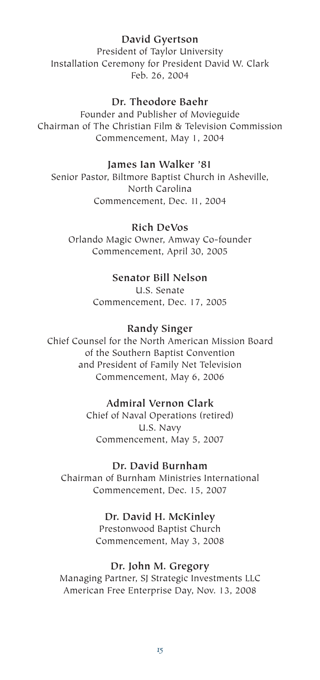#### **David Gyertson**

President of Taylor University Installation Ceremony for President David W. Clark Feb. 26, 2004

#### **Dr. Theodore Baehr**

Founder and Publisher of Movieguide Chairman of The Christian Film & Television Commission Commencement, May 1, 2004

#### **James Ian Walker '81**

Senior Pastor, Biltmore Baptist Church in Asheville, North Carolina Commencement, Dec. 11, 2004

#### **Rich DeVos**

Orlando Magic Owner, Amway Co-founder Commencement, April 30, 2005

## **Senator Bill Nelson**

U.S. Senate Commencement, Dec. 17, 2005

#### **Randy Singer**

Chief Counsel for the North American Mission Board of the Southern Baptist Convention and President of Family Net Television Commencement, May 6, 2006

#### **Admiral Vernon Clark**

Chief of Naval Operations (retired) U.S. Navy Commencement, May 5, 2007

#### **Dr. David Burnham**

Chairman of Burnham Ministries International Commencement, Dec. 15, 2007

#### **Dr. David H. McKinley**

Prestonwood Baptist Church Commencement, May 3, 2008

#### **Dr. John M. Gregory**

Managing Partner, SJ Strategic Investments LLC American Free Enterprise Day, Nov. 13, 2008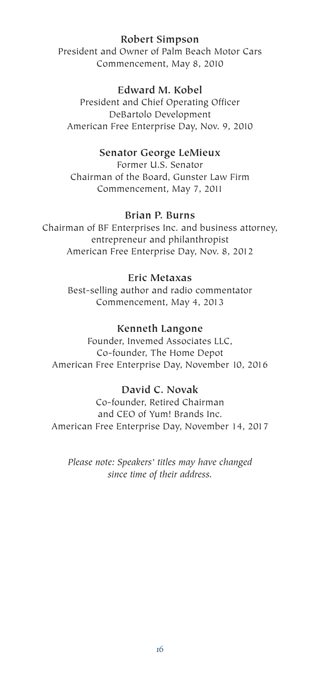#### **Robert Simpson**

President and Owner of Palm Beach Motor Cars Commencement, May 8, 2010

#### **Edward M. Kobel**

President and Chief Operating Officer DeBartolo Development American Free Enterprise Day, Nov. 9, 2010

#### **Senator George LeMieux**

Former U.S. Senator Chairman of the Board, Gunster Law Firm Commencement, May 7, 2011

#### **Brian P. Burns**

Chairman of BF Enterprises Inc. and business attorney, entrepreneur and philanthropist American Free Enterprise Day, Nov. 8, 2012

#### **Eric Metaxas**

Best-selling author and radio commentator Commencement, May 4, 2013

#### **Kenneth Langone**

Founder, Invemed Associates LLC, Co-founder, The Home Depot American Free Enterprise Day, November 10, 2016

### **David C. Novak**

Co-founder, Retired Chairman and CEO of Yum! Brands Inc. American Free Enterprise Day, November 14, 2017

*Please note: Speakers' titles may have changed since time of their address.*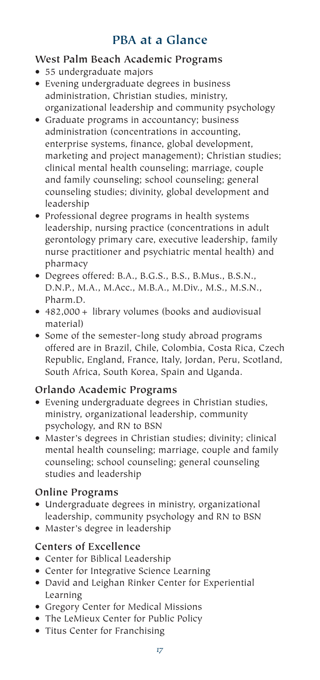# **PBA at a Glance**

## **West Palm Beach Academic Programs**

- 55 undergraduate majors
- Evening undergraduate degrees in business administration, Christian studies, ministry, organizational leadership and community psychology
- Graduate programs in accountancy; business administration (concentrations in accounting, enterprise systems, finance, global development, marketing and project management); Christian studies; clinical mental health counseling; marriage, couple and family counseling; school counseling; general counseling studies; divinity, global development and leadership
- Professional degree programs in health systems leadership, nursing practice (concentrations in adult gerontology primary care, executive leadership, family nurse practitioner and psychiatric mental health) and pharmacy
- Degrees offered: B.A., B.G.S., B.S., B.Mus., B.S.N., D.N.P., M.A., M.Acc., M.B.A., M.Div., M.S., M.S.N., Pharm.D.
- 482,000+ library volumes (books and audiovisual material)
- Some of the semester-long study abroad programs offered are in Brazil, Chile, Colombia, Costa Rica, Czech Republic, England, France, Italy, Jordan, Peru, Scotland, South Africa, South Korea, Spain and Uganda.

# **Orlando Academic Programs**

- Evening undergraduate degrees in Christian studies, ministry, organizational leadership, community psychology, and RN to BSN
- Master's degrees in Christian studies; divinity; clinical mental health counseling; marriage, couple and family counseling; school counseling; general counseling studies and leadership

# **Online Programs**

- Undergraduate degrees in ministry, organizational leadership, community psychology and RN to BSN
- Master's degree in leadership

# **Centers of Excellence**

- Center for Biblical Leadership
- Center for Integrative Science Learning
- David and Leighan Rinker Center for Experiential Learning
- Gregory Center for Medical Missions
- The LeMieux Center for Public Policy
- Titus Center for Franchising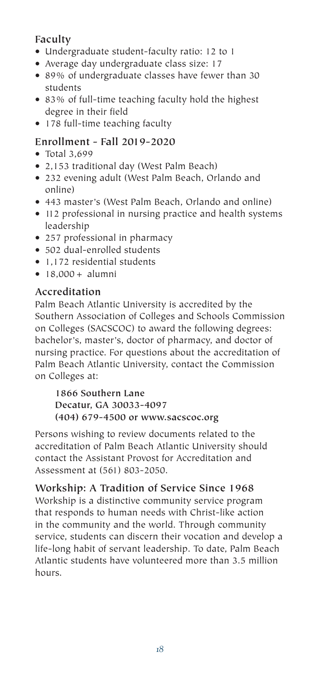## **Faculty**

- Undergraduate student-faculty ratio: 12 to 1
- Average day undergraduate class size: 17
- 89% of undergraduate classes have fewer than 30 students
- 83% of full-time teaching faculty hold the highest degree in their field
- 178 full-time teaching faculty

# **Enrollment - Fall 2019-2020**

- Total 3,699
- 2,153 traditional day (West Palm Beach)
- 232 evening adult (West Palm Beach, Orlando and online)
- 443 master's (West Palm Beach, Orlando and online)
- 112 professional in nursing practice and health systems leadership
- 257 professional in pharmacy
- 502 dual-enrolled students
- 1,172 residential students
- 18,000+ alumni

# **Accreditation**

Palm Beach Atlantic University is accredited by the Southern Association of Colleges and Schools Commission on Colleges (SACSCOC) to award the following degrees: bachelor's, master's, doctor of pharmacy, and doctor of nursing practice. For questions about the accreditation of Palm Beach Atlantic University, contact the Commission on Colleges at:

**1866 Southern Lane Decatur, GA 30033-4097 (404) 679-4500 or www.sacscoc.org**

Persons wishing to review documents related to the accreditation of Palm Beach Atlantic University should contact the Assistant Provost for Accreditation and Assessment at (561) 803-2050.

# **Workship: A Tradition of Service Since 1968**

Workship is a distinctive community service program that responds to human needs with Christ-like action in the community and the world. Through community service, students can discern their vocation and develop a life-long habit of servant leadership. To date, Palm Beach Atlantic students have volunteered more than 3.5 million hours.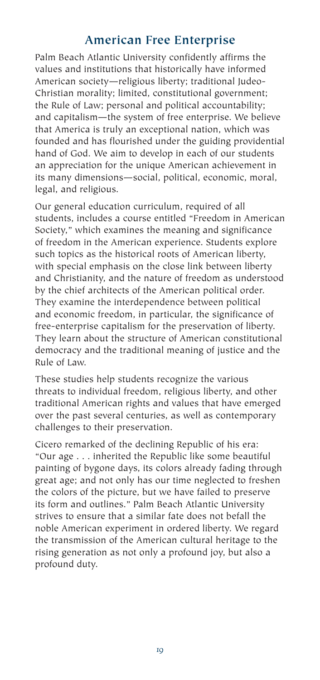# **American Free Enterprise**

Palm Beach Atlantic University confidently affirms the values and institutions that historically have informed American society—religious liberty; traditional Judeo-Christian morality; limited, constitutional government; the Rule of Law; personal and political accountability; and capitalism—the system of free enterprise. We believe that America is truly an exceptional nation, which was founded and has flourished under the guiding providential hand of God. We aim to develop in each of our students an appreciation for the unique American achievement in its many dimensions—social, political, economic, moral, legal, and religious.

Our general education curriculum, required of all students, includes a course entitled "Freedom in American Society," which examines the meaning and significance of freedom in the American experience. Students explore such topics as the historical roots of American liberty, with special emphasis on the close link between liberty and Christianity, and the nature of freedom as understood by the chief architects of the American political order. They examine the interdependence between political and economic freedom, in particular, the significance of free-enterprise capitalism for the preservation of liberty. They learn about the structure of American constitutional democracy and the traditional meaning of justice and the Rule of Law.

These studies help students recognize the various threats to individual freedom, religious liberty, and other traditional American rights and values that have emerged over the past several centuries, as well as contemporary challenges to their preservation.

Cicero remarked of the declining Republic of his era: "Our age . . . inherited the Republic like some beautiful painting of bygone days, its colors already fading through great age; and not only has our time neglected to freshen the colors of the picture, but we have failed to preserve its form and outlines." Palm Beach Atlantic University strives to ensure that a similar fate does not befall the noble American experiment in ordered liberty. We regard the transmission of the American cultural heritage to the rising generation as not only a profound joy, but also a profound duty.